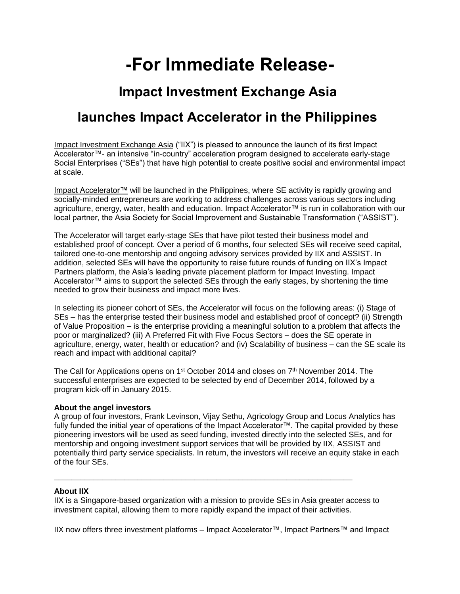# **-For Immediate Release-**

### **Impact Investment Exchange Asia**

## **launches Impact Accelerator in the Philippines**

[Impact Investment Exchange Asia](http://www.asiaiix.com/) ("IIX") is pleased to announce the launch of its first Impact Accelerator™- an intensive "in-country" acceleration program designed to accelerate early-stage Social Enterprises ("SEs") that have high potential to create positive social and environmental impact at scale.

[Impact Accelerator™](http://www.asiaiix.com/impact-accelerator/) will be launched in the Philippines, where SE activity is rapidly growing and socially-minded entrepreneurs are working to address challenges across various sectors including agriculture, energy, water, health and education. Impact Accelerator™ is run in collaboration with our local partner, the Asia Society for Social Improvement and Sustainable Transformation ("ASSIST").

The Accelerator will target early-stage SEs that have pilot tested their business model and established proof of concept. Over a period of 6 months, four selected SEs will receive seed capital, tailored one-to-one mentorship and ongoing advisory services provided by IIX and ASSIST. In addition, selected SEs will have the opportunity to raise future rounds of funding on IIX's Impact Partners platform, the Asia's leading private placement platform for Impact Investing. Impact Accelerator™ aims to support the selected SEs through the early stages, by shortening the time needed to grow their business and impact more lives.

In selecting its pioneer cohort of SEs, the Accelerator will focus on the following areas: (i) Stage of SEs – has the enterprise tested their business model and established proof of concept? (ii) Strength of Value Proposition – is the enterprise providing a meaningful solution to a problem that affects the poor or marginalized? (iii) A Preferred Fit with Five Focus Sectors – does the SE operate in agriculture, energy, water, health or education? and (iv) Scalability of business – can the SE scale its reach and impact with additional capital?

The Call for Applications opens on 1<sup>st</sup> October 2014 and closes on 7<sup>th</sup> November 2014. The successful enterprises are expected to be selected by end of December 2014, followed by a program kick-off in January 2015.

### **About the angel investors**

A group of four investors, Frank Levinson, Vijay Sethu, Agricology Group and Locus Analytics has fully funded the initial year of operations of the Impact Accelerator™. The capital provided by these pioneering investors will be used as seed funding, invested directly into the selected SEs, and for mentorship and ongoing investment support services that will be provided by IIX, ASSIST and potentially third party service specialists. In return, the investors will receive an equity stake in each of the four SEs.

### **About IIX**

IIX is a Singapore-based organization with a mission to provide SEs in Asia greater access to investment capital, allowing them to more rapidly expand the impact of their activities.

**\_\_\_\_\_\_\_\_\_\_\_\_\_\_\_\_\_\_\_\_\_\_\_\_\_\_\_\_\_\_\_\_\_\_\_\_\_\_\_\_\_\_\_\_\_\_\_\_\_\_\_\_\_\_\_\_\_\_\_\_\_\_\_\_\_\_\_\_**

IIX now offers three investment platforms – Impact Accelerator™, Impact Partners™ and Impact